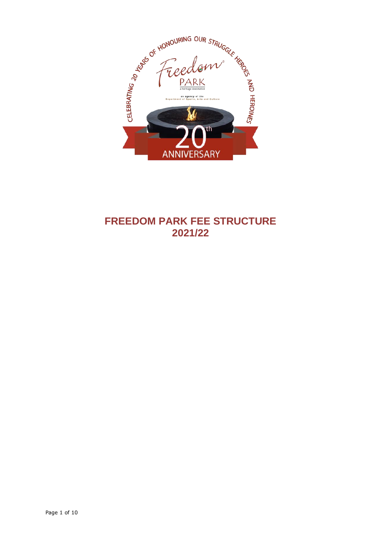

# **FREEDOM PARK FEE STRUCTURE 2021/22**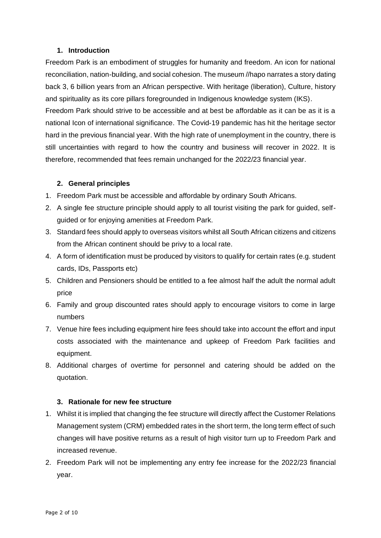#### **1. Introduction**

Freedom Park is an embodiment of struggles for humanity and freedom. An icon for national reconciliation, nation-building, and social cohesion. The museum //hapo narrates a story dating back 3, 6 billion years from an African perspective. With heritage (liberation), Culture, history and spirituality as its core pillars foregrounded in Indigenous knowledge system (IKS).

Freedom Park should strive to be accessible and at best be affordable as it can be as it is a national Icon of international significance. The Covid-19 pandemic has hit the heritage sector hard in the previous financial year. With the high rate of unemployment in the country, there is still uncertainties with regard to how the country and business will recover in 2022. It is therefore, recommended that fees remain unchanged for the 2022/23 financial year.

#### **2. General principles**

- 1. Freedom Park must be accessible and affordable by ordinary South Africans.
- 2. A single fee structure principle should apply to all tourist visiting the park for guided, selfguided or for enjoying amenities at Freedom Park.
- 3. Standard fees should apply to overseas visitors whilst all South African citizens and citizens from the African continent should be privy to a local rate.
- 4. A form of identification must be produced by visitors to qualify for certain rates (e.g. student cards, IDs, Passports etc)
- 5. Children and Pensioners should be entitled to a fee almost half the adult the normal adult price
- 6. Family and group discounted rates should apply to encourage visitors to come in large numbers
- 7. Venue hire fees including equipment hire fees should take into account the effort and input costs associated with the maintenance and upkeep of Freedom Park facilities and equipment.
- 8. Additional charges of overtime for personnel and catering should be added on the quotation.

# **3. Rationale for new fee structure**

- 1. Whilst it is implied that changing the fee structure will directly affect the Customer Relations Management system (CRM) embedded rates in the short term, the long term effect of such changes will have positive returns as a result of high visitor turn up to Freedom Park and increased revenue.
- 2. Freedom Park will not be implementing any entry fee increase for the 2022/23 financial year.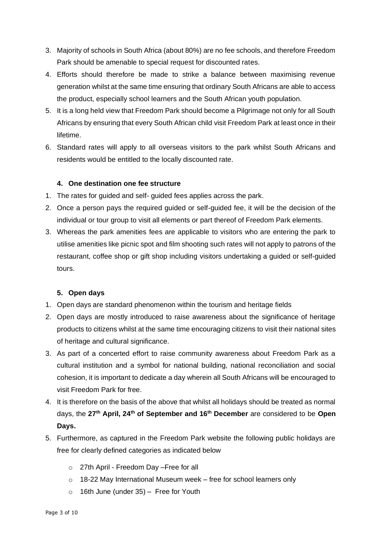- 3. Majority of schools in South Africa (about 80%) are no fee schools, and therefore Freedom Park should be amenable to special request for discounted rates.
- 4. Efforts should therefore be made to strike a balance between maximising revenue generation whilst at the same time ensuring that ordinary South Africans are able to access the product, especially school learners and the South African youth population.
- 5. It is a long held view that Freedom Park should become a Pilgrimage not only for all South Africans by ensuring that every South African child visit Freedom Park at least once in their lifetime.
- 6. Standard rates will apply to all overseas visitors to the park whilst South Africans and residents would be entitled to the locally discounted rate.

# **4. One destination one fee structure**

- 1. The rates for guided and self- guided fees applies across the park.
- 2. Once a person pays the required guided or self-guided fee, it will be the decision of the individual or tour group to visit all elements or part thereof of Freedom Park elements.
- 3. Whereas the park amenities fees are applicable to visitors who are entering the park to utilise amenities like picnic spot and film shooting such rates will not apply to patrons of the restaurant, coffee shop or gift shop including visitors undertaking a guided or self-guided tours.

# **5. Open days**

- 1. Open days are standard phenomenon within the tourism and heritage fields
- 2. Open days are mostly introduced to raise awareness about the significance of heritage products to citizens whilst at the same time encouraging citizens to visit their national sites of heritage and cultural significance.
- 3. As part of a concerted effort to raise community awareness about Freedom Park as a cultural institution and a symbol for national building, national reconciliation and social cohesion, it is important to dedicate a day wherein all South Africans will be encouraged to visit Freedom Park for free.
- 4. It is therefore on the basis of the above that whilst all holidays should be treated as normal days, the **27th April, 24th of September and 16th December** are considered to be **Open Days.**
- 5. Furthermore, as captured in the Freedom Park website the following public holidays are free for clearly defined categories as indicated below
	- o 27th April Freedom Day –Free for all
	- o 18-22 May International Museum week free for school learners only
	- $\circ$  16th June (under 35) Free for Youth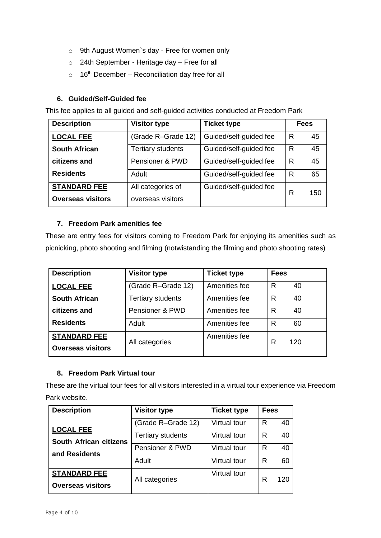- o 9th August Women`s day Free for women only
- o 24th September Heritage day Free for all
- $\circ$  16<sup>th</sup> December Reconciliation day free for all

#### **6. Guided/Self-Guided fee**

This fee applies to all guided and self-guided activities conducted at Freedom Park

| <b>Description</b>       | <b>Visitor type</b>      | <b>Ticket type</b>     |   | <b>Fees</b> |
|--------------------------|--------------------------|------------------------|---|-------------|
| <b>LOCAL FEE</b>         | (Grade R-Grade 12)       | Guided/self-guided fee | R | 45          |
| <b>South African</b>     | <b>Tertiary students</b> | Guided/self-guided fee | R | 45          |
| citizens and             | Pensioner & PWD          | Guided/self-guided fee | R | 45          |
| <b>Residents</b>         | Adult                    | Guided/self-guided fee | R | 65          |
| <b>STANDARD FEE</b>      | All categories of        | Guided/self-guided fee | R | 150         |
| <b>Overseas visitors</b> | overseas visitors        |                        |   |             |

#### **7. Freedom Park amenities fee**

These are entry fees for visitors coming to Freedom Park for enjoying its amenities such as picnicking, photo shooting and filming (notwistanding the filming and photo shooting rates)

| <b>Description</b>       | <b>Visitor type</b>      | <b>Ticket type</b> | <b>Fees</b> |
|--------------------------|--------------------------|--------------------|-------------|
| <b>LOCAL FEE</b>         | (Grade R-Grade 12)       | Amenities fee      | R<br>40     |
| <b>South African</b>     | <b>Tertiary students</b> | Amenities fee      | R<br>40     |
| citizens and             | Pensioner & PWD          | Amenities fee      | R<br>40     |
| <b>Residents</b>         | Adult                    | Amenities fee      | R<br>60     |
| <b>STANDARD FEE</b>      | All categories           | Amenities fee      | R<br>120    |
| <b>Overseas visitors</b> |                          |                    |             |

#### **8. Freedom Park Virtual tour**

These are the virtual tour fees for all visitors interested in a virtual tour experience via Freedom Park website.

| <b>Description</b>       | <b>Visitor type</b>      | <b>Ticket type</b> | <b>Fees</b> |     |
|--------------------------|--------------------------|--------------------|-------------|-----|
| <b>LOCAL FEE</b>         | (Grade R-Grade 12)       | Virtual tour       | R           | 40  |
| South African citizens   | <b>Tertiary students</b> | Virtual tour       | R           | 40  |
| and Residents            | Pensioner & PWD          | Virtual tour       | R           | 40  |
|                          | Adult                    | Virtual tour       | R           | 60  |
| <b>STANDARD FEE</b>      | All categories           | Virtual tour       | R           | 120 |
| <b>Overseas visitors</b> |                          |                    |             |     |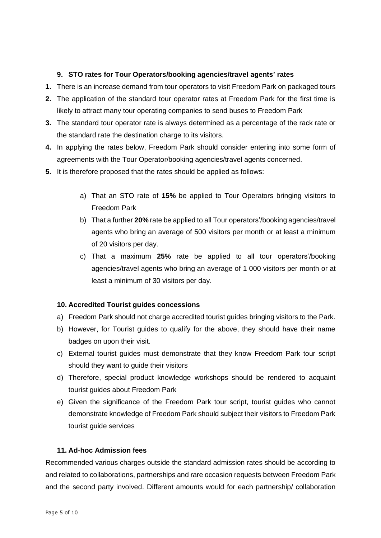# **9. STO rates for Tour Operators/booking agencies/travel agents' rates**

- **1.** There is an increase demand from tour operators to visit Freedom Park on packaged tours
- **2.** The application of the standard tour operator rates at Freedom Park for the first time is likely to attract many tour operating companies to send buses to Freedom Park
- **3.** The standard tour operator rate is always determined as a percentage of the rack rate or the standard rate the destination charge to its visitors.
- **4.** In applying the rates below, Freedom Park should consider entering into some form of agreements with the Tour Operator/booking agencies/travel agents concerned.
- **5.** It is therefore proposed that the rates should be applied as follows:
	- a) That an STO rate of **15%** be applied to Tour Operators bringing visitors to Freedom Park
	- b) That a further **20%** rate be applied to all Tour operators'/booking agencies/travel agents who bring an average of 500 visitors per month or at least a minimum of 20 visitors per day.
	- c) That a maximum **25%** rate be applied to all tour operators'/booking agencies/travel agents who bring an average of 1 000 visitors per month or at least a minimum of 30 visitors per day.

#### **10. Accredited Tourist guides concessions**

- a) Freedom Park should not charge accredited tourist guides bringing visitors to the Park.
- b) However, for Tourist guides to qualify for the above, they should have their name badges on upon their visit.
- c) External tourist guides must demonstrate that they know Freedom Park tour script should they want to guide their visitors
- d) Therefore, special product knowledge workshops should be rendered to acquaint tourist guides about Freedom Park
- e) Given the significance of the Freedom Park tour script, tourist guides who cannot demonstrate knowledge of Freedom Park should subject their visitors to Freedom Park tourist guide services

#### **11. Ad-hoc Admission fees**

Recommended various charges outside the standard admission rates should be according to and related to collaborations, partnerships and rare occasion requests between Freedom Park and the second party involved. Different amounts would for each partnership/ collaboration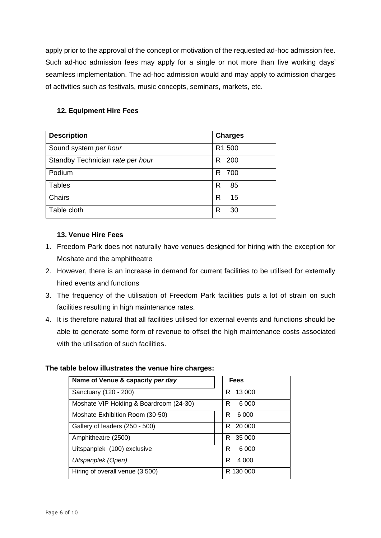apply prior to the approval of the concept or motivation of the requested ad-hoc admission fee. Such ad-hoc admission fees may apply for a single or not more than five working days' seamless implementation. The ad-hoc admission would and may apply to admission charges of activities such as festivals, music concepts, seminars, markets, etc.

# **12. Equipment Hire Fees**

| <b>Description</b>               | <b>Charges</b>     |
|----------------------------------|--------------------|
| Sound system per hour            | R <sub>1</sub> 500 |
| Standby Technician rate per hour | 200<br>R.          |
| Podium                           | 700<br>R.          |
| <b>Tables</b>                    | 85<br>R            |
| Chairs                           | 15<br>R            |
| Table cloth                      | 30<br>R            |

# **13. Venue Hire Fees**

- 1. Freedom Park does not naturally have venues designed for hiring with the exception for Moshate and the amphitheatre
- 2. However, there is an increase in demand for current facilities to be utilised for externally hired events and functions
- 3. The frequency of the utilisation of Freedom Park facilities puts a lot of strain on such facilities resulting in high maintenance rates.
- 4. It is therefore natural that all facilities utilised for external events and functions should be able to generate some form of revenue to offset the high maintenance costs associated with the utilisation of such facilities.

| Name of Venue & capacity per day        | <b>Fees</b>   |
|-----------------------------------------|---------------|
| Sanctuary (120 - 200)                   | R.<br>13 000  |
| Moshate VIP Holding & Boardroom (24-30) | R.<br>6 0 0 0 |
| Moshate Exhibition Room (30-50)         | R.<br>6 000   |
| Gallery of leaders (250 - 500)          | R 20 000      |
| Amphitheatre (2500)                     | 35 000<br>R   |
| Uitspanplek (100) exclusive             | 6000<br>R     |
| Uitspanplek (Open)                      | R<br>4 0 0 0  |
| Hiring of overall venue (3 500)         | R 130 000     |

#### **The table below illustrates the venue hire charges:**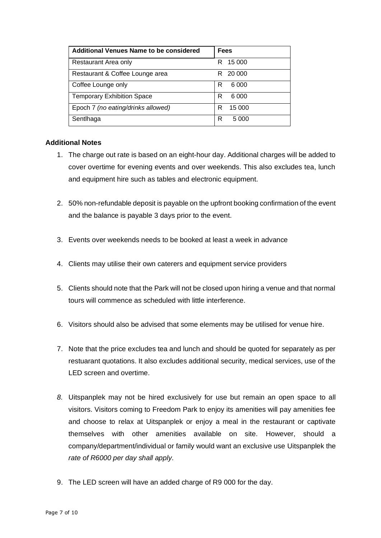| <b>Additional Venues Name to be considered</b> | <b>Fees</b>  |
|------------------------------------------------|--------------|
| Restaurant Area only                           | 15 000<br>R. |
| Restaurant & Coffee Lounge area                | 20 000<br>R. |
| Coffee Lounge only                             | 6 0 0 0<br>R |
| <b>Temporary Exhibition Space</b>              | 6 0 0 0<br>R |
| Epoch 7 (no eating/drinks allowed)             | 15 000<br>R  |
| Sentlhaga                                      | R<br>5 000   |

#### **Additional Notes**

- 1. The charge out rate is based on an eight-hour day. Additional charges will be added to cover overtime for evening events and over weekends. This also excludes tea, lunch and equipment hire such as tables and electronic equipment.
- 2. 50% non-refundable deposit is payable on the upfront booking confirmation of the event and the balance is payable 3 days prior to the event.
- 3. Events over weekends needs to be booked at least a week in advance
- 4. Clients may utilise their own caterers and equipment service providers
- 5. Clients should note that the Park will not be closed upon hiring a venue and that normal tours will commence as scheduled with little interference.
- 6. Visitors should also be advised that some elements may be utilised for venue hire.
- 7. Note that the price excludes tea and lunch and should be quoted for separately as per restuarant quotations. It also excludes additional security, medical services, use of the LED screen and overtime.
- *8.* Uitspanplek may not be hired exclusively for use but remain an open space to all visitors. Visitors coming to Freedom Park to enjoy its amenities will pay amenities fee and choose to relax at Uitspanplek or enjoy a meal in the restaurant or captivate themselves with other amenities available on site. However, should a company/department/individual or family would want an exclusive use Uitspanplek the *rate of R6000 per day shall apply.*
- 9. The LED screen will have an added charge of R9 000 for the day.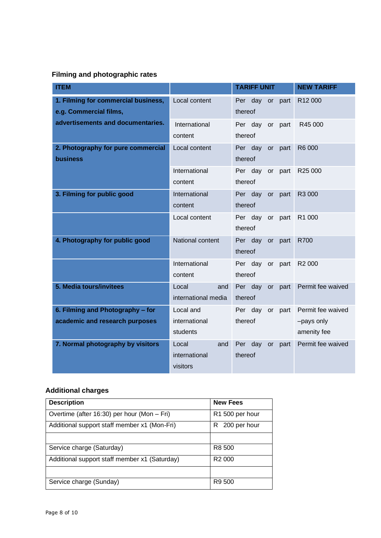# **Filming and photographic rates**

| <b>ITEM</b>                                                        |                                           | <b>TARIFF UNIT</b>               | <b>NEW TARIFF</b>                              |
|--------------------------------------------------------------------|-------------------------------------------|----------------------------------|------------------------------------------------|
| 1. Filming for commercial business,<br>e.g. Commercial films,      | Local content                             | Per day or part<br>thereof       | R12 000                                        |
| advertisements and documentaries.                                  | International<br>content                  | Per day or part<br>thereof       | R45 000                                        |
| 2. Photography for pure commercial<br><b>business</b>              | Local content                             | Per day or part<br>thereof       | R6 000                                         |
|                                                                    | International<br>content                  | Per day or part<br>thereof       | R25 000                                        |
| 3. Filming for public good                                         | International<br>content                  | Per day or part<br>thereof       | R3 000                                         |
|                                                                    | Local content                             | Per day or part<br>thereof       | R1 000                                         |
| 4. Photography for public good                                     | National content                          | Per day or part<br>thereof       | <b>R700</b>                                    |
|                                                                    | International<br>content                  | Per day or part<br>thereof       | R <sub>2</sub> 000                             |
| 5. Media tours/invitees                                            | Local<br>and<br>international media       | Per day or<br>part<br>thereof    | Permit fee waived                              |
| 6. Filming and Photography - for<br>academic and research purposes | Local and<br>international<br>students    | Per day or part<br>thereof       | Permit fee waived<br>-pays only<br>amenity fee |
| 7. Normal photography by visitors                                  | Local<br>and<br>international<br>visitors | Per day<br>or<br>part<br>thereof | Permit fee waived                              |

# **Additional charges**

| <b>Description</b>                            | <b>New Fees</b>    |
|-----------------------------------------------|--------------------|
| Overtime (after 16:30) per hour (Mon – Fri)   | R1 500 per hour    |
| Additional support staff member x1 (Mon-Fri)  | 200 per hour<br>R. |
|                                               |                    |
| Service charge (Saturday)                     | R8 500             |
| Additional support staff member x1 (Saturday) | R <sub>2</sub> 000 |
|                                               |                    |
| Service charge (Sunday)                       | R9 500             |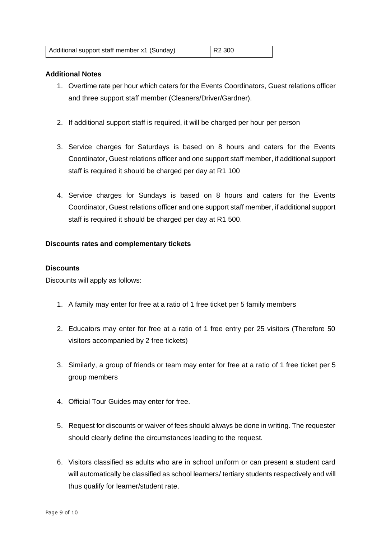| Additional support staff member x1 (Sunday) | $\vert$ R <sub>2</sub> 300 |
|---------------------------------------------|----------------------------|

# **Additional Notes**

- 1. Overtime rate per hour which caters for the Events Coordinators, Guest relations officer and three support staff member (Cleaners/Driver/Gardner).
- 2. If additional support staff is required, it will be charged per hour per person
- 3. Service charges for Saturdays is based on 8 hours and caters for the Events Coordinator, Guest relations officer and one support staff member, if additional support staff is required it should be charged per day at R1 100
- 4. Service charges for Sundays is based on 8 hours and caters for the Events Coordinator, Guest relations officer and one support staff member, if additional support staff is required it should be charged per day at R1 500.

# **Discounts rates and complementary tickets**

# **Discounts**

Discounts will apply as follows:

- 1. A family may enter for free at a ratio of 1 free ticket per 5 family members
- 2. Educators may enter for free at a ratio of 1 free entry per 25 visitors (Therefore 50 visitors accompanied by 2 free tickets)
- 3. Similarly, a group of friends or team may enter for free at a ratio of 1 free ticket per 5 group members
- 4. Official Tour Guides may enter for free.
- 5. Request for discounts or waiver of fees should always be done in writing. The requester should clearly define the circumstances leading to the request.
- 6. Visitors classified as adults who are in school uniform or can present a student card will automatically be classified as school learners/ tertiary students respectively and will thus qualify for learner/student rate.